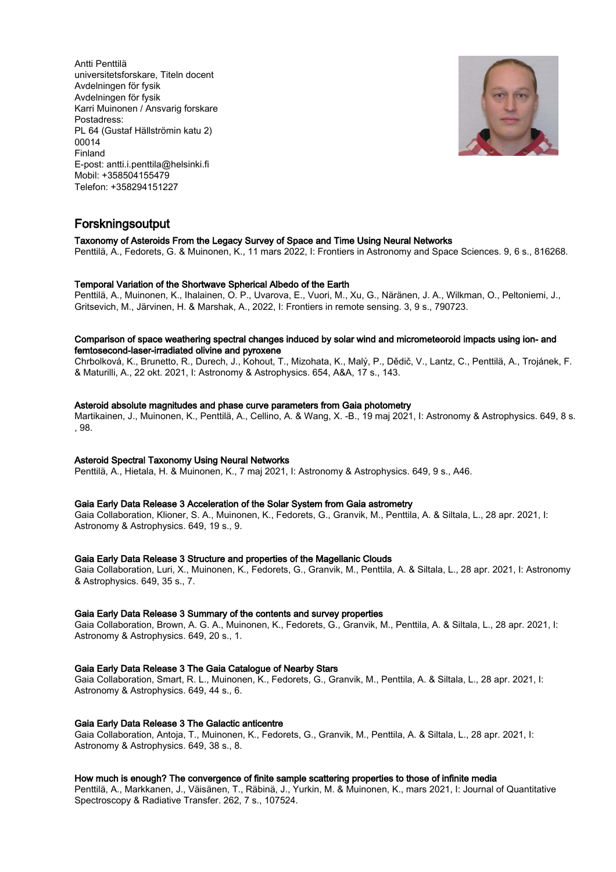Antti Penttilä universitetsforskare, Titeln docent Avdelningen för fysik Avdelningen för fysik Karri Muinonen / Ansvarig forskare Postadress: PL 64 (Gustaf Hällströmin katu 2) 00014 Finland E-post: antti.i.penttila@helsinki.fi Mobil: +358504155479 Telefon: +358294151227



## Forskningsoutput

Taxonomy of Asteroids From the Legacy Survey of Space and Time Using Neural Networks

Penttilä, A., Fedorets, G. & Muinonen, K., 11 mars 2022, I: Frontiers in Astronomy and Space Sciences. 9, 6 s., 816268.

#### Temporal Variation of the Shortwave Spherical Albedo of the Earth

Penttilä, A., Muinonen, K., Ihalainen, O. P., Uvarova, E., Vuori, M., Xu, G., Näränen, J. A., Wilkman, O., Peltoniemi, J., Gritsevich, M., Järvinen, H. & Marshak, A., 2022, I: Frontiers in remote sensing. 3, 9 s., 790723.

#### Comparison of space weathering spectral changes induced by solar wind and micrometeoroid impacts using ion- and femtosecond-laser-irradiated olivine and pyroxene

Chrbolková, K., Brunetto, R., Ďurech, J., Kohout, T., Mizohata, K., Malý, P., Dědič, V., Lantz, C., Penttilä, A., Trojánek, F. & Maturilli, A., 22 okt. 2021, I: Astronomy & Astrophysics. 654, A&A, 17 s., 143.

#### Asteroid absolute magnitudes and phase curve parameters from Gaia photometry

Martikainen, J., Muinonen, K., Penttilä, A., Cellino, A. & Wang, X. -B., 19 maj 2021, I: Astronomy & Astrophysics. 649, 8 s. , 98.

#### Asteroid Spectral Taxonomy Using Neural Networks

Penttilä, A., Hietala, H. & Muinonen, K., 7 maj 2021, I: Astronomy & Astrophysics. 649, 9 s., A46.

#### Gaia Early Data Release 3 Acceleration of the Solar System from Gaia astrometry

Gaia Collaboration, Klioner, S. A., Muinonen, K., Fedorets, G., Granvik, M., Penttila, A. & Siltala, L., 28 apr. 2021, I: Astronomy & Astrophysics. 649, 19 s., 9.

#### Gaia Early Data Release 3 Structure and properties of the Magellanic Clouds

Gaia Collaboration, Luri, X., Muinonen, K., Fedorets, G., Granvik, M., Penttila, A. & Siltala, L., 28 apr. 2021, I: Astronomy & Astrophysics. 649, 35 s., 7.

#### Gaia Early Data Release 3 Summary of the contents and survey properties

Gaia Collaboration, Brown, A. G. A., Muinonen, K., Fedorets, G., Granvik, M., Penttila, A. & Siltala, L., 28 apr. 2021, I: Astronomy & Astrophysics. 649, 20 s., 1.

### Gaia Early Data Release 3 The Gaia Catalogue of Nearby Stars

Gaia Collaboration, Smart, R. L., Muinonen, K., Fedorets, G., Granvik, M., Penttila, A. & Siltala, L., 28 apr. 2021, I: Astronomy & Astrophysics. 649, 44 s., 6.

#### Gaia Early Data Release 3 The Galactic anticentre

Gaia Collaboration, Antoja, T., Muinonen, K., Fedorets, G., Granvik, M., Penttila, A. & Siltala, L., 28 apr. 2021, I: Astronomy & Astrophysics. 649, 38 s., 8.

#### How much is enough? The convergence of finite sample scattering properties to those of infinite media

Penttilä, A., Markkanen, J., Väisänen, T., Räbinä, J., Yurkin, M. & Muinonen, K., mars 2021, I: Journal of Quantitative Spectroscopy & Radiative Transfer. 262, 7 s., 107524.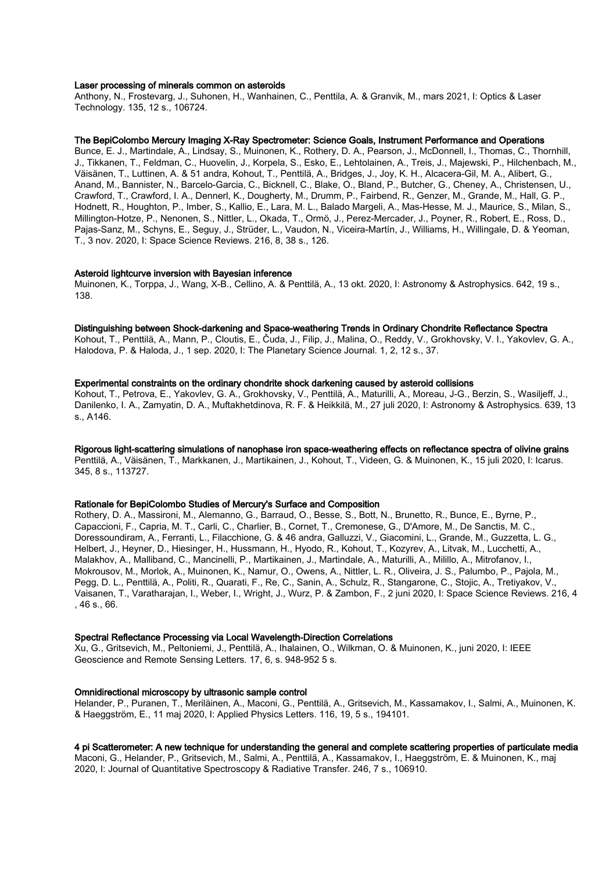#### Laser processing of minerals common on asteroids

Anthony, N., Frostevarg, J., Suhonen, H., Wanhainen, C., Penttila, A. & Granvik, M., mars 2021, I: Optics & Laser Technology. 135, 12 s., 106724.

#### The BepiColombo Mercury Imaging X-Ray Spectrometer: Science Goals, Instrument Performance and Operations

Bunce, E. J., Martindale, A., Lindsay, S., Muinonen, K., Rothery, D. A., Pearson, J., McDonnell, I., Thomas, C., Thornhill, J., Tikkanen, T., Feldman, C., Huovelin, J., Korpela, S., Esko, E., Lehtolainen, A., Treis, J., Majewski, P., Hilchenbach, M., Väisänen, T., Luttinen, A. & 51 andra, Kohout, T., Penttilä, A., Bridges, J., Joy, K. H., Alcacera-Gil, M. A., Alibert, G., Anand, M., Bannister, N., Barcelo-Garcia, C., Bicknell, C., Blake, O., Bland, P., Butcher, G., Cheney, A., Christensen, U., Crawford, T., Crawford, I. A., Dennerl, K., Dougherty, M., Drumm, P., Fairbend, R., Genzer, M., Grande, M., Hall, G. P., Hodnett, R., Houghton, P., Imber, S., Kallio, E., Lara, M. L., Balado Margeli, A., Mas-Hesse, M. J., Maurice, S., Milan, S., Millington-Hotze, P., Nenonen, S., Nittler, L., Okada, T., Ormö, J., Perez-Mercader, J., Poyner, R., Robert, E., Ross, D., Pajas-Sanz, M., Schyns, E., Seguy, J., Strüder, L., Vaudon, N., Viceira-Martín, J., Williams, H., Willingale, D. & Yeoman, T., 3 nov. 2020, I: Space Science Reviews. 216, 8, 38 s., 126.

#### Asteroid lightcurve inversion with Bayesian inference

Muinonen, K., Torppa, J., Wang, X-B., Cellino, A. & Penttilä, A., 13 okt. 2020, I: Astronomy & Astrophysics. 642, 19 s., 138.

#### Distinguishing between Shock-darkening and Space-weathering Trends in Ordinary Chondrite Reflectance Spectra

Kohout, T., Penttilä, A., Mann, P., Cloutis, E., Čuda, J., Filip, J., Malina, O., Reddy, V., Grokhovsky, V. I., Yakovlev, G. A., Halodova, P. & Haloda, J., 1 sep. 2020, I: The Planetary Science Journal. 1, 2, 12 s., 37.

## Experimental constraints on the ordinary chondrite shock darkening caused by asteroid collisions

Kohout, T., Petrova, E., Yakovlev, G. A., Grokhovsky, V., Penttilä, A., Maturilli, A., Moreau, J-G., Berzin, S., Wasiljeff, J., Danilenko, I. A., Zamyatin, D. A., Muftakhetdinova, R. F. & Heikkilä, M., 27 juli 2020, I: Astronomy & Astrophysics. 639, 13 s., A146.

Rigorous light-scattering simulations of nanophase iron space-weathering effects on reflectance spectra of olivine grains Penttilä, A., Väisänen, T., Markkanen, J., Martikainen, J., Kohout, T., Videen, G. & Muinonen, K., 15 juli 2020, I: Icarus. 345, 8 s., 113727.

#### Rationale for BepiColombo Studies of Mercury's Surface and Composition

Rothery, D. A., Massironi, M., Alemanno, G., Barraud, O., Besse, S., Bott, N., Brunetto, R., Bunce, E., Byrne, P., Capaccioni, F., Capria, M. T., Carli, C., Charlier, B., Cornet, T., Cremonese, G., D'Amore, M., De Sanctis, M. C., Doressoundiram, A., Ferranti, L., Filacchione, G. & 46 andra, Galluzzi, V., Giacomini, L., Grande, M., Guzzetta, L. G., Helbert, J., Heyner, D., Hiesinger, H., Hussmann, H., Hyodo, R., Kohout, T., Kozyrev, A., Litvak, M., Lucchetti, A., Malakhov, A., Malliband, C., Mancinelli, P., Martikainen, J., Martindale, A., Maturilli, A., Milillo, A., Mitrofanov, I., Mokrousov, M., Morlok, A., Muinonen, K., Namur, O., Owens, A., Nittler, L. R., Oliveira, J. S., Palumbo, P., Pajola, M., Pegg, D. L., Penttilä, A., Politi, R., Quarati, F., Re, C., Sanin, A., Schulz, R., Stangarone, C., Stojic, A., Tretiyakov, V., Vaisanen, T., Varatharajan, I., Weber, I., Wright, J., Wurz, P. & Zambon, F., 2 juni 2020, I: Space Science Reviews. 216, 4 , 46 s., 66.

#### Spectral Reflectance Processing via Local Wavelength-Direction Correlations

Xu, G., Gritsevich, M., Peltoniemi, J., Penttilä, A., Ihalainen, O., Wilkman, O. & Muinonen, K., juni 2020, I: IEEE Geoscience and Remote Sensing Letters. 17, 6, s. 948-952 5 s.

#### Omnidirectional microscopy by ultrasonic sample control

Helander, P., Puranen, T., Meriläinen, A., Maconi, G., Penttilä, A., Gritsevich, M., Kassamakov, I., Salmi, A., Muinonen, K. & Haeggström, E., 11 maj 2020, I: Applied Physics Letters. 116, 19, 5 s., 194101.

## 4 pi Scatterometer: A new technique for understanding the general and complete scattering properties of particulate media

Maconi, G., Helander, P., Gritsevich, M., Salmi, A., Penttilä, A., Kassamakov, I., Haeggström, E. & Muinonen, K., maj 2020, I: Journal of Quantitative Spectroscopy & Radiative Transfer. 246, 7 s., 106910.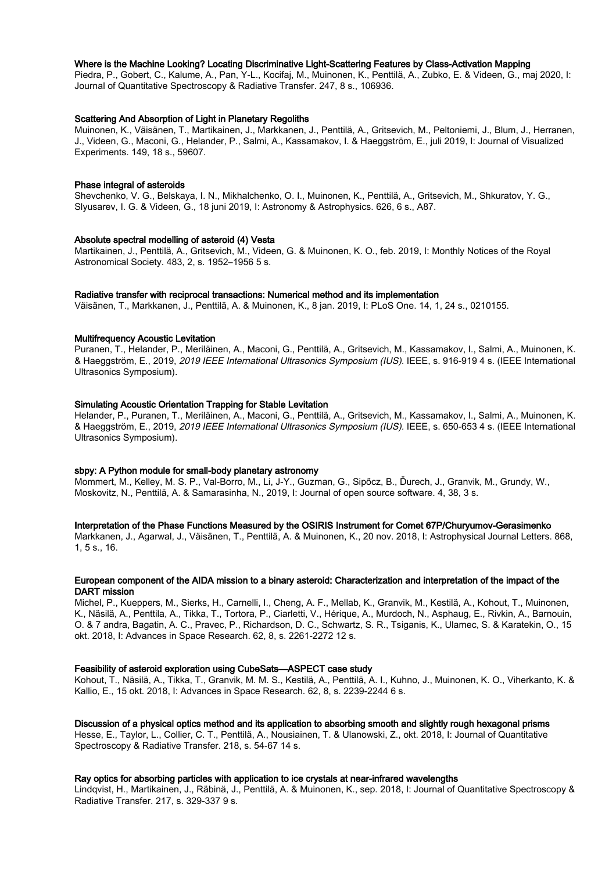#### Where is the Machine Looking? Locating Discriminative Light-Scattering Features by Class-Activation Mapping

Piedra, P., Gobert, C., Kalume, A., Pan, Y-L., Kocifaj, M., Muinonen, K., Penttilä, A., Zubko, E. & Videen, G., maj 2020, I: Journal of Quantitative Spectroscopy & Radiative Transfer. 247, 8 s., 106936.

#### Scattering And Absorption of Light in Planetary Regoliths

Muinonen, K., Väisänen, T., Martikainen, J., Markkanen, J., Penttilä, A., Gritsevich, M., Peltoniemi, J., Blum, J., Herranen, J., Videen, G., Maconi, G., Helander, P., Salmi, A., Kassamakov, I. & Haeggström, E., juli 2019, I: Journal of Visualized Experiments. 149, 18 s., 59607.

#### Phase integral of asteroids

Shevchenko, V. G., Belskaya, I. N., Mikhalchenko, O. I., Muinonen, K., Penttilä, A., Gritsevich, M., Shkuratov, Y. G., Slyusarev, I. G. & Videen, G., 18 juni 2019, I: Astronomy & Astrophysics. 626, 6 s., A87.

#### Absolute spectral modelling of asteroid (4) Vesta

Martikainen, J., Penttilä, A., Gritsevich, M., Videen, G. & Muinonen, K. O., feb. 2019, I: Monthly Notices of the Royal Astronomical Society. 483, 2, s. 1952–1956 5 s.

#### Radiative transfer with reciprocal transactions: Numerical method and its implementation

Väisänen, T., Markkanen, J., Penttilä, A. & Muinonen, K., 8 jan. 2019, I: PLoS One. 14, 1, 24 s., 0210155.

## Multifrequency Acoustic Levitation

Puranen, T., Helander, P., Meriläinen, A., Maconi, G., Penttilä, A., Gritsevich, M., Kassamakov, I., Salmi, A., Muinonen, K. & Haeggström, E., 2019, 2019 IEEE International Ultrasonics Symposium (IUS). IEEE, s. 916-919 4 s. (IEEE International Ultrasonics Symposium).

## Simulating Acoustic Orientation Trapping for Stable Levitation

Helander, P., Puranen, T., Meriläinen, A., Maconi, G., Penttilä, A., Gritsevich, M., Kassamakov, I., Salmi, A., Muinonen, K. & Haeggström, E., 2019, 2019 IEEE International Ultrasonics Symposium (IUS). IEEE, s. 650-653 4 s. (IEEE International Ultrasonics Symposium).

#### sbpy: A Python module for small-body planetary astronomy

Mommert, M., Kelley, M. S. P., Val-Borro, M., Li, J-Y., Guzman, G., Sipőcz, B., Ďurech, J., Granvik, M., Grundy, W., Moskovitz, N., Penttilä, A. & Samarasinha, N., 2019, I: Journal of open source software. 4, 38, 3 s.

#### Interpretation of the Phase Functions Measured by the OSIRIS Instrument for Comet 67P/Churyumov-Gerasimenko

Markkanen, J., Agarwal, J., Väisänen, T., Penttilä, A. & Muinonen, K., 20 nov. 2018, I: Astrophysical Journal Letters. 868, 1, 5 s., 16.

#### European component of the AIDA mission to a binary asteroid: Characterization and interpretation of the impact of the DART mission

Michel, P., Kueppers, M., Sierks, H., Carnelli, I., Cheng, A. F., Mellab, K., Granvik, M., Kestilä, A., Kohout, T., Muinonen, K., Näsilä, A., Penttila, A., Tikka, T., Tortora, P., Ciarletti, V., Hérique, A., Murdoch, N., Asphaug, E., Rivkin, A., Barnouin, O. & 7 andra, Bagatin, A. C., Pravec, P., Richardson, D. C., Schwartz, S. R., Tsiganis, K., Ulamec, S. & Karatekin, O., 15 okt. 2018, I: Advances in Space Research. 62, 8, s. 2261-2272 12 s.

#### Feasibility of asteroid exploration using CubeSats—ASPECT case study

Kohout, T., Näsilä, A., Tikka, T., Granvik, M. M. S., Kestilä, A., Penttilä, A. I., Kuhno, J., Muinonen, K. O., Viherkanto, K. & Kallio, E., 15 okt. 2018, I: Advances in Space Research. 62, 8, s. 2239-2244 6 s.

#### Discussion of a physical optics method and its application to absorbing smooth and slightly rough hexagonal prisms

Hesse, E., Taylor, L., Collier, C. T., Penttilä, A., Nousiainen, T. & Ulanowski, Z., okt. 2018, I: Journal of Quantitative Spectroscopy & Radiative Transfer. 218, s. 54-67 14 s.

#### Ray optics for absorbing particles with application to ice crystals at near-infrared wavelengths

Lindqvist, H., Martikainen, J., Räbinä, J., Penttilä, A. & Muinonen, K., sep. 2018, I: Journal of Quantitative Spectroscopy & Radiative Transfer. 217, s. 329-337 9 s.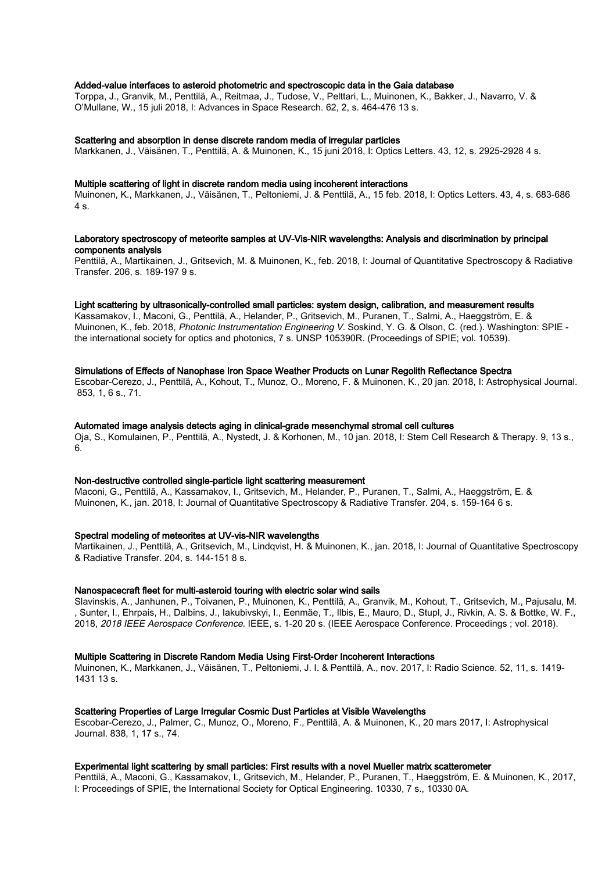### Added-value interfaces to asteroid photometric and spectroscopic data in the Gaia database

Torppa, J., Granvik, M., Penttilä, A., Reitmaa, J., Tudose, V., Pelttari, L., Muinonen, K., Bakker, J., Navarro, V. & O'Mullane, W., 15 juli 2018, I: Advances in Space Research. 62, 2, s. 464-476 13 s.

#### Scattering and absorption in dense discrete random media of irregular particles

Markkanen, J., Väisänen, T., Penttilä, A. & Muinonen, K., 15 juni 2018, I: Optics Letters. 43, 12, s. 2925-2928 4 s.

#### Multiple scattering of light in discrete random media using incoherent interactions

Muinonen, K., Markkanen, J., Väisänen, T., Peltoniemi, J. & Penttilä, A., 15 feb. 2018, I: Optics Letters. 43, 4, s. 683-686 4 s.

## Laboratory spectroscopy of meteorite samples at UV-Vis-NIR wavelengths: Analysis and discrimination by principal components analysis

Penttilä, A., Martikainen, J., Gritsevich, M. & Muinonen, K., feb. 2018, I: Journal of Quantitative Spectroscopy & Radiative Transfer. 206, s. 189-197 9 s.

## Light scattering by ultrasonically-controlled small particles: system design, calibration, and measurement results

Kassamakov, I., Maconi, G., Penttilä, A., Helander, P., Gritsevich, M., Puranen, T., Salmi, A., Haeggström, E. & Muinonen, K., feb. 2018, Photonic Instrumentation Engineering V. Soskind, Y. G. & Olson, C. (red.). Washington: SPIE the international society for optics and photonics, 7 s. UNSP 105390R. (Proceedings of SPIE; vol. 10539).

#### Simulations of Effects of Nanophase Iron Space Weather Products on Lunar Regolith Reflectance Spectra

Escobar-Cerezo, J., Penttilä, A., Kohout, T., Munoz, O., Moreno, F. & Muinonen, K., 20 jan. 2018, I: Astrophysical Journal. 853, 1, 6 s., 71.

#### Automated image analysis detects aging in clinical-grade mesenchymal stromal cell cultures

Oja, S., Komulainen, P., Penttilä, A., Nystedt, J. & Korhonen, M., 10 jan. 2018, I: Stem Cell Research & Therapy. 9, 13 s., 6.

#### Non-destructive controlled single-particle light scattering measurement

Maconi, G., Penttilä, A., Kassamakov, I., Gritsevich, M., Helander, P., Puranen, T., Salmi, A., Haeggström, E. & Muinonen, K., jan. 2018, I: Journal of Quantitative Spectroscopy & Radiative Transfer. 204, s. 159-164 6 s.

#### Spectral modeling of meteorites at UV-vis-NIR wavelengths

Martikainen, J., Penttilä, A., Gritsevich, M., Lindqvist, H. & Muinonen, K., jan. 2018, I: Journal of Quantitative Spectroscopy & Radiative Transfer. 204, s. 144-151 8 s.

#### Nanospacecraft fleet for multi-asteroid touring with electric solar wind sails

Slavinskis, A., Janhunen, P., Toivanen, P., Muinonen, K., Penttilä, A., Granvik, M., Kohout, T., Gritsevich, M., Pajusalu, M. , Sunter, I., Ehrpais, H., Dalbins, J., Iakubivskyi, I., Eenmäe, T., Ilbis, E., Mauro, D., Stupl, J., Rivkin, A. S. & Bottke, W. F., 2018, 2018 IEEE Aerospace Conference. IEEE, s. 1-20 20 s. (IEEE Aerospace Conference. Proceedings ; vol. 2018).

#### Multiple Scattering in Discrete Random Media Using First-Order Incoherent Interactions

Muinonen, K., Markkanen, J., Väisänen, T., Peltoniemi, J. I. & Penttilä, A., nov. 2017, I: Radio Science. 52, 11, s. 1419- 1431 13 s.

#### Scattering Properties of Large Irregular Cosmic Dust Particles at Visible Wavelengths

Escobar-Cerezo, J., Palmer, C., Munoz, O., Moreno, F., Penttilä, A. & Muinonen, K., 20 mars 2017, I: Astrophysical Journal. 838, 1, 17 s., 74.

#### Experimental light scattering by small particles: First results with a novel Mueller matrix scatterometer

Penttilä, A., Maconi, G., Kassamakov, I., Gritsevich, M., Helander, P., Puranen, T., Haeggström, E. & Muinonen, K., 2017, I: Proceedings of SPIE, the International Society for Optical Engineering. 10330, 7 s., 10330 0A.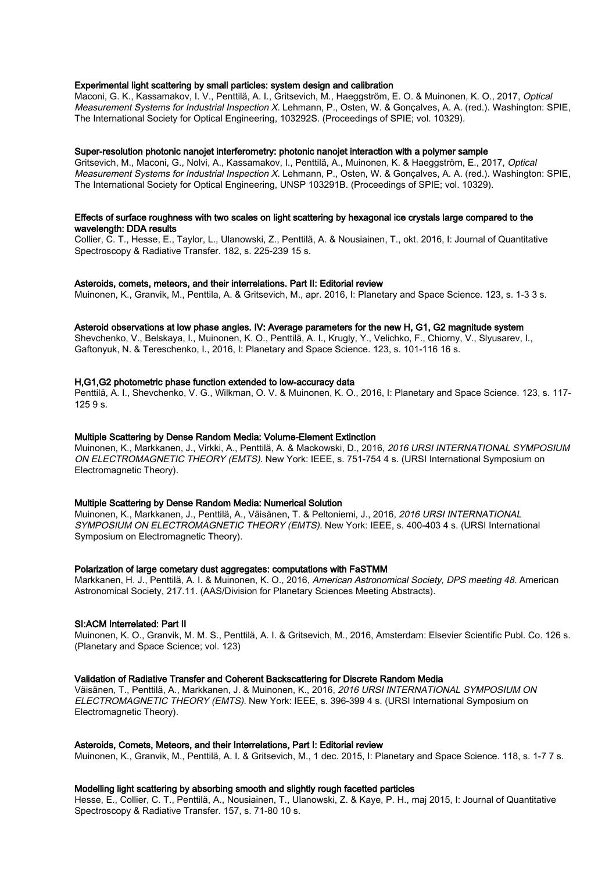#### Experimental light scattering by small particles: system design and calibration

Maconi, G. K., Kassamakov, I. V., Penttilä, A. I., Gritsevich, M., Haeggström, E. O. & Muinonen, K. O., 2017, Optical Measurement Systems for Industrial Inspection X. Lehmann, P., Osten, W. & Gonçalves, A. A. (red.). Washington: SPIE, The International Society for Optical Engineering, 103292S. (Proceedings of SPIE; vol. 10329).

#### Super-resolution photonic nanojet interferometry: photonic nanojet interaction with a polymer sample

Gritsevich, M., Maconi, G., Nolvi, A., Kassamakov, I., Penttilä, A., Muinonen, K. & Haeggström, E., 2017, Optical Measurement Systems for Industrial Inspection X. Lehmann, P., Osten, W. & Gonçalves, A. A. (red.). Washington: SPIE, The International Society for Optical Engineering, UNSP 103291B. (Proceedings of SPIE; vol. 10329).

#### Effects of surface roughness with two scales on light scattering by hexagonal ice crystals large compared to the wavelength: DDA results

Collier, C. T., Hesse, E., Taylor, L., Ulanowski, Z., Penttilä, A. & Nousiainen, T., okt. 2016, I: Journal of Quantitative Spectroscopy & Radiative Transfer. 182, s. 225-239 15 s.

#### Asteroids, comets, meteors, and their interrelations. Part II: Editorial review

Muinonen, K., Granvik, M., Penttila, A. & Gritsevich, M., apr. 2016, I: Planetary and Space Science. 123, s. 1-3 3 s.

## Asteroid observations at low phase angles. IV: Average parameters for the new H, G1, G2 magnitude system

Shevchenko, V., Belskaya, I., Muinonen, K. O., Penttilä, A. I., Krugly, Y., Velichko, F., Chiorny, V., Slyusarev, I., Gaftonyuk, N. & Tereschenko, I., 2016, I: Planetary and Space Science. 123, s. 101-116 16 s.

#### H,G1,G2 photometric phase function extended to low-accuracy data

Penttilä, A. I., Shevchenko, V. G., Wilkman, O. V. & Muinonen, K. O., 2016, I: Planetary and Space Science. 123, s. 117- 125 9 s.

#### Multiple Scattering by Dense Random Media: Volume-Element Extinction

Muinonen, K., Markkanen, J., Virkki, A., Penttilä, A. & Mackowski, D., 2016, 2016 URSI INTERNATIONAL SYMPOSIUM ON ELECTROMAGNETIC THEORY (EMTS). New York: IEEE, s. 751-754 4 s. (URSI International Symposium on Electromagnetic Theory).

#### Multiple Scattering by Dense Random Media: Numerical Solution

Muinonen, K., Markkanen, J., Penttilä, A., Väisänen, T. & Peltoniemi, J., 2016, 2016 URSI INTERNATIONAL SYMPOSIUM ON ELECTROMAGNETIC THEORY (EMTS). New York: IEEE, s. 400-403 4 s. (URSI International Symposium on Electromagnetic Theory).

#### Polarization of large cometary dust aggregates: computations with FaSTMM

Markkanen, H. J., Penttilä, A. I. & Muinonen, K. O., 2016, American Astronomical Society, DPS meeting 48. American Astronomical Society, 217.11. (AAS/Division for Planetary Sciences Meeting Abstracts).

### SI:ACM Interrelated: Part II

Muinonen, K. O., Granvik, M. M. S., Penttilä, A. I. & Gritsevich, M., 2016, Amsterdam: Elsevier Scientific Publ. Co. 126 s. (Planetary and Space Science; vol. 123)

#### Validation of Radiative Transfer and Coherent Backscattering for Discrete Random Media

Väisänen, T., Penttilä, A., Markkanen, J. & Muinonen, K., 2016, 2016 URSI INTERNATIONAL SYMPOSIUM ON ELECTROMAGNETIC THEORY (EMTS). New York: IEEE, s. 396-399 4 s. (URSI International Symposium on Electromagnetic Theory).

#### Asteroids, Comets, Meteors, and their Interrelations, Part I: Editorial review

Muinonen, K., Granvik, M., Penttilä, A. I. & Gritsevich, M., 1 dec. 2015, I: Planetary and Space Science. 118, s. 1-7 7 s.

#### Modelling light scattering by absorbing smooth and slightly rough facetted particles

Hesse, E., Collier, C. T., Penttilä, A., Nousiainen, T., Ulanowski, Z. & Kaye, P. H., maj 2015, I: Journal of Quantitative Spectroscopy & Radiative Transfer. 157, s. 71-80 10 s.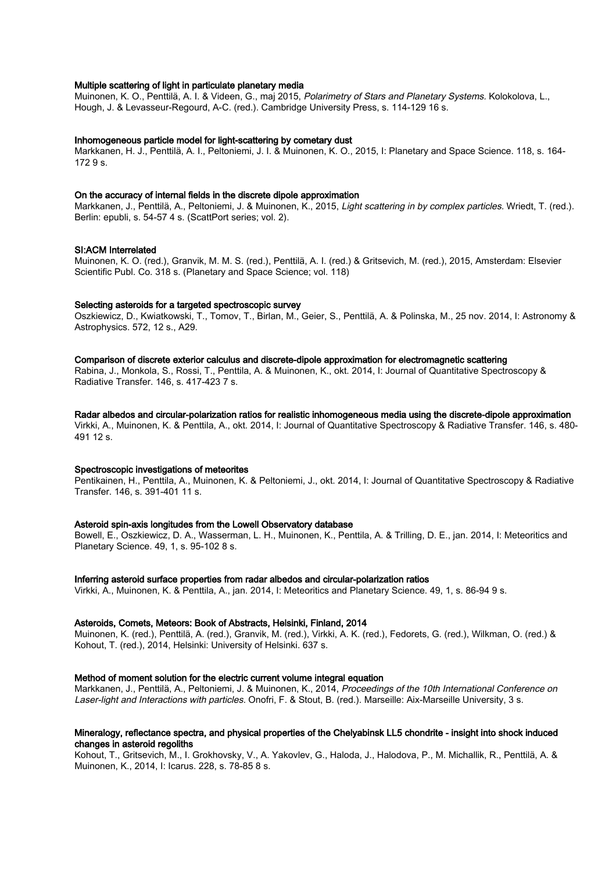#### Multiple scattering of light in particulate planetary media

Muinonen, K. O., Penttilä, A. I. & Videen, G., maj 2015, Polarimetry of Stars and Planetary Systems. Kolokolova, L., Hough, J. & Levasseur-Regourd, A-C. (red.). Cambridge University Press, s. 114-129 16 s.

#### Inhomogeneous particle model for light-scattering by cometary dust

Markkanen, H. J., Penttilä, A. I., Peltoniemi, J. I. & Muinonen, K. O., 2015, I: Planetary and Space Science. 118, s. 164- 172 9 s.

#### On the accuracy of internal fields in the discrete dipole approximation

Markkanen, J., Penttilä, A., Peltoniemi, J. & Muinonen, K., 2015, Light scattering in by complex particles. Wriedt, T. (red.). Berlin: epubli, s. 54-57 4 s. (ScattPort series; vol. 2).

#### SI:ACM Interrelated

Muinonen, K. O. (red.), Granvik, M. M. S. (red.), Penttilä, A. I. (red.) & Gritsevich, M. (red.), 2015, Amsterdam: Elsevier Scientific Publ. Co. 318 s. (Planetary and Space Science; vol. 118)

#### Selecting asteroids for a targeted spectroscopic survey

Oszkiewicz, D., Kwiatkowski, T., Tomov, T., Birlan, M., Geier, S., Penttilä, A. & Polinska, M., 25 nov. 2014, I: Astronomy & Astrophysics. 572, 12 s., A29.

#### Comparison of discrete exterior calculus and discrete-dipole approximation for electromagnetic scattering

Rabina, J., Monkola, S., Rossi, T., Penttila, A. & Muinonen, K., okt. 2014, I: Journal of Quantitative Spectroscopy & Radiative Transfer. 146, s. 417-423 7 s.

#### Radar albedos and circular-polarization ratios for realistic inhomogeneous media using the discrete-dipole approximation

Virkki, A., Muinonen, K. & Penttila, A., okt. 2014, I: Journal of Quantitative Spectroscopy & Radiative Transfer. 146, s. 480- 491 12 s.

## Spectroscopic investigations of meteorites

Pentikainen, H., Penttila, A., Muinonen, K. & Peltoniemi, J., okt. 2014, I: Journal of Quantitative Spectroscopy & Radiative Transfer. 146, s. 391-401 11 s.

#### Asteroid spin-axis longitudes from the Lowell Observatory database

Bowell, E., Oszkiewicz, D. A., Wasserman, L. H., Muinonen, K., Penttila, A. & Trilling, D. E., jan. 2014, I: Meteoritics and Planetary Science. 49, 1, s. 95-102 8 s.

#### Inferring asteroid surface properties from radar albedos and circular-polarization ratios

Virkki, A., Muinonen, K. & Penttila, A., jan. 2014, I: Meteoritics and Planetary Science. 49, 1, s. 86-94 9 s.

#### Asteroids, Comets, Meteors: Book of Abstracts, Helsinki, Finland, 2014

Muinonen, K. (red.), Penttilä, A. (red.), Granvik, M. (red.), Virkki, A. K. (red.), Fedorets, G. (red.), Wilkman, O. (red.) & Kohout, T. (red.), 2014, Helsinki: University of Helsinki. 637 s.

#### Method of moment solution for the electric current volume integral equation

Markkanen, J., Penttilä, A., Peltoniemi, J. & Muinonen, K., 2014, Proceedings of the 10th International Conference on Laser-light and Interactions with particles. Onofri, F. & Stout, B. (red.). Marseille: Aix-Marseille University, 3 s.

## Mineralogy, reflectance spectra, and physical properties of the Chelyabinsk LL5 chondrite - insight into shock induced changes in asteroid regoliths

Kohout, T., Gritsevich, M., I. Grokhovsky, V., A. Yakovlev, G., Haloda, J., Halodova, P., M. Michallik, R., Penttilä, A. & Muinonen, K., 2014, I: Icarus. 228, s. 78-85 8 s.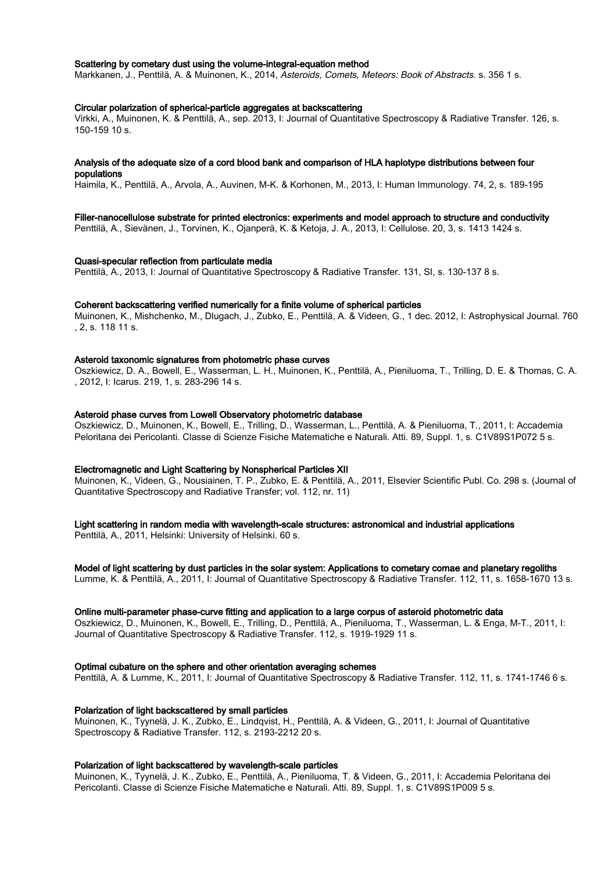#### Scattering by cometary dust using the volume-integral-equation method

Markkanen, J., Penttilä, A. & Muinonen, K., 2014, Asteroids, Comets, Meteors: Book of Abstracts. s. 356 1 s.

#### Circular polarization of spherical-particle aggregates at backscattering

Virkki, A., Muinonen, K. & Penttilä, A., sep. 2013, I: Journal of Quantitative Spectroscopy & Radiative Transfer. 126, s. 150-159 10 s.

#### Analysis of the adequate size of a cord blood bank and comparison of HLA haplotype distributions between four populations

Haimila, K., Penttilä, A., Arvola, A., Auvinen, M-K. & Korhonen, M., 2013, I: Human Immunology. 74, 2, s. 189-195

#### Filler-nanocellulose substrate for printed electronics: experiments and model approach to structure and conductivity

Penttilä, A., Sievänen, J., Torvinen, K., Ojanperä, K. & Ketoja, J. A., 2013, I: Cellulose. 20, 3, s. 1413 1424 s.

#### Quasi-specular reflection from particulate media

Penttilä, A., 2013, I: Journal of Quantitative Spectroscopy & Radiative Transfer. 131, SI, s. 130-137 8 s.

#### Coherent backscattering verified numerically for a finite volume of spherical particles

Muinonen, K., Mishchenko, M., Dlugach, J., Zubko, E., Penttilä, A. & Videen, G., 1 dec. 2012, I: Astrophysical Journal. 760 , 2, s. 118 11 s.

#### Asteroid taxonomic signatures from photometric phase curves

Oszkiewicz, D. A., Bowell, E., Wasserman, L. H., Muinonen, K., Penttilä, A., Pieniluoma, T., Trilling, D. E. & Thomas, C. A. , 2012, I: Icarus. 219, 1, s. 283-296 14 s.

## Asteroid phase curves from Lowell Observatory photometric database

Oszkiewicz, D., Muinonen, K., Bowell, E., Trilling, D., Wasserman, L., Penttilä, A. & Pieniluoma, T., 2011, I: Accademia Peloritana dei Pericolanti. Classe di Scienze Fisiche Matematiche e Naturali. Atti. 89, Suppl. 1, s. C1V89S1P072 5 s.

#### Electromagnetic and Light Scattering by Nonspherical Particles XII

Muinonen, K., Videen, G., Nousiainen, T. P., Zubko, E. & Penttilä, A., 2011, Elsevier Scientific Publ. Co. 298 s. (Journal of Quantitative Spectroscopy and Radiative Transfer; vol. 112, nr. 11)

#### Light scattering in random media with wavelength-scale structures: astronomical and industrial applications

Penttilä, A., 2011, Helsinki: University of Helsinki. 60 s.

#### Model of light scattering by dust particles in the solar system: Applications to cometary comae and planetary regoliths

Lumme, K. & Penttilä, A., 2011, I: Journal of Quantitative Spectroscopy & Radiative Transfer. 112, 11, s. 1658-1670 13 s.

#### Online multi-parameter phase-curve fitting and application to a large corpus of asteroid photometric data

Oszkiewicz, D., Muinonen, K., Bowell, E., Trilling, D., Penttilä, A., Pieniluoma, T., Wasserman, L. & Enga, M-T., 2011, I: Journal of Quantitative Spectroscopy & Radiative Transfer. 112, s. 1919-1929 11 s.

#### Optimal cubature on the sphere and other orientation averaging schemes

Penttilä, A. & Lumme, K., 2011, I: Journal of Quantitative Spectroscopy & Radiative Transfer. 112, 11, s. 1741-1746 6 s.

### Polarization of light backscattered by small particles

Muinonen, K., Tyynelä, J. K., Zubko, E., Lindqvist, H., Penttilä, A. & Videen, G., 2011, I: Journal of Quantitative Spectroscopy & Radiative Transfer. 112, s. 2193-2212 20 s.

#### Polarization of light backscattered by wavelength-scale particles

Muinonen, K., Tyynelä, J. K., Zubko, E., Penttilä, A., Pieniluoma, T. & Videen, G., 2011, I: Accademia Peloritana dei Pericolanti. Classe di Scienze Fisiche Matematiche e Naturali. Atti. 89, Suppl. 1, s. C1V89S1P009 5 s.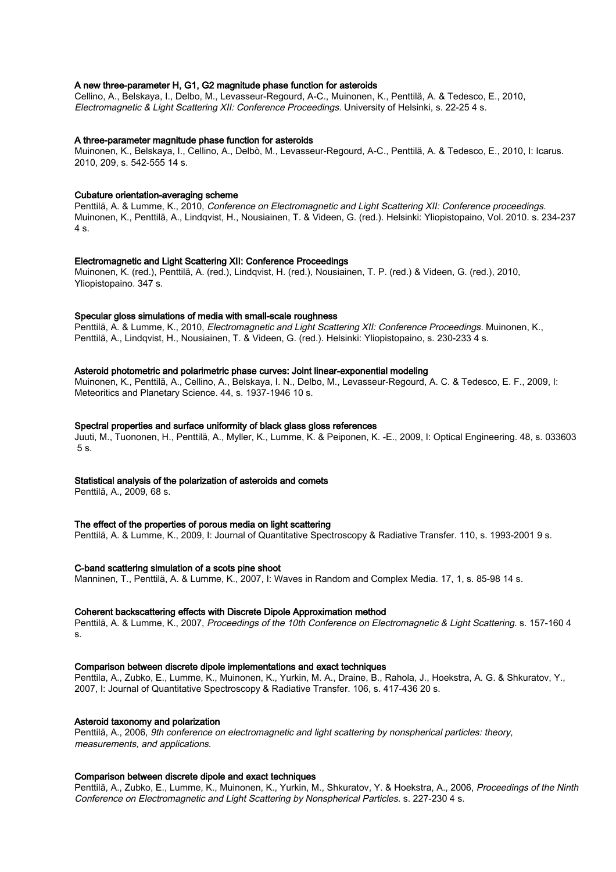## A new three-parameter H, G1, G2 magnitude phase function for asteroids

Cellino, A., Belskaya, I., Delbo, M., Levasseur-Regourd, A-C., Muinonen, K., Penttilä, A. & Tedesco, E., 2010, Electromagnetic & Light Scattering XII: Conference Proceedings. University of Helsinki, s. 22-25 4 s.

#### A three-parameter magnitude phase function for asteroids

Muinonen, K., Belskaya, I., Cellino, A., Delbò, M., Levasseur-Regourd, A-C., Penttilä, A. & Tedesco, E., 2010, I: Icarus. 2010, 209, s. 542-555 14 s.

#### Cubature orientation-averaging scheme

Penttilä, A. & Lumme, K., 2010, Conference on Electromagnetic and Light Scattering XII: Conference proceedings. Muinonen, K., Penttilä, A., Lindqvist, H., Nousiainen, T. & Videen, G. (red.). Helsinki: Yliopistopaino, Vol. 2010. s. 234-237 4 s.

#### Electromagnetic and Light Scattering XII: Conference Proceedings

Muinonen, K. (red.), Penttilä, A. (red.), Lindqvist, H. (red.), Nousiainen, T. P. (red.) & Videen, G. (red.), 2010, Yliopistopaino. 347 s.

#### Specular gloss simulations of media with small-scale roughness

Penttilä, A. & Lumme, K., 2010, Electromagnetic and Light Scattering XII: Conference Proceedings. Muinonen, K., Penttilä, A., Lindqvist, H., Nousiainen, T. & Videen, G. (red.). Helsinki: Yliopistopaino, s. 230-233 4 s.

#### Asteroid photometric and polarimetric phase curves: Joint linear-exponential modeling

Muinonen, K., Penttilä, A., Cellino, A., Belskaya, I. N., Delbo, M., Levasseur-Regourd, A. C. & Tedesco, E. F., 2009, I: Meteoritics and Planetary Science. 44, s. 1937-1946 10 s.

#### Spectral properties and surface uniformity of black glass gloss references

Juuti, M., Tuononen, H., Penttilä, A., Myller, K., Lumme, K. & Peiponen, K. -E., 2009, I: Optical Engineering. 48, s. 033603 5 s.

## Statistical analysis of the polarization of asteroids and comets

Penttilä, A., 2009, 68 s.

### The effect of the properties of porous media on light scattering

Penttilä, A. & Lumme, K., 2009, I: Journal of Quantitative Spectroscopy & Radiative Transfer. 110, s. 1993-2001 9 s.

#### C-band scattering simulation of a scots pine shoot

Manninen, T., Penttilä, A. & Lumme, K., 2007, I: Waves in Random and Complex Media. 17, 1, s. 85-98 14 s.

#### Coherent backscattering effects with Discrete Dipole Approximation method

Penttilä, A. & Lumme, K., 2007, Proceedings of the 10th Conference on Electromagnetic & Light Scattering. s. 157-160 4 s.

### Comparison between discrete dipole implementations and exact techniques

Penttila, A., Zubko, E., Lumme, K., Muinonen, K., Yurkin, M. A., Draine, B., Rahola, J., Hoekstra, A. G. & Shkuratov, Y., 2007, I: Journal of Quantitative Spectroscopy & Radiative Transfer. 106, s. 417-436 20 s.

#### Asteroid taxonomy and polarization

Penttilä, A., 2006, 9th conference on electromagnetic and light scattering by nonspherical particles: theory, measurements, and applications.

#### Comparison between discrete dipole and exact techniques

Penttilä, A., Zubko, E., Lumme, K., Muinonen, K., Yurkin, M., Shkuratov, Y. & Hoekstra, A., 2006, Proceedings of the Ninth Conference on Electromagnetic and Light Scattering by Nonspherical Particles. s. 227-230 4 s.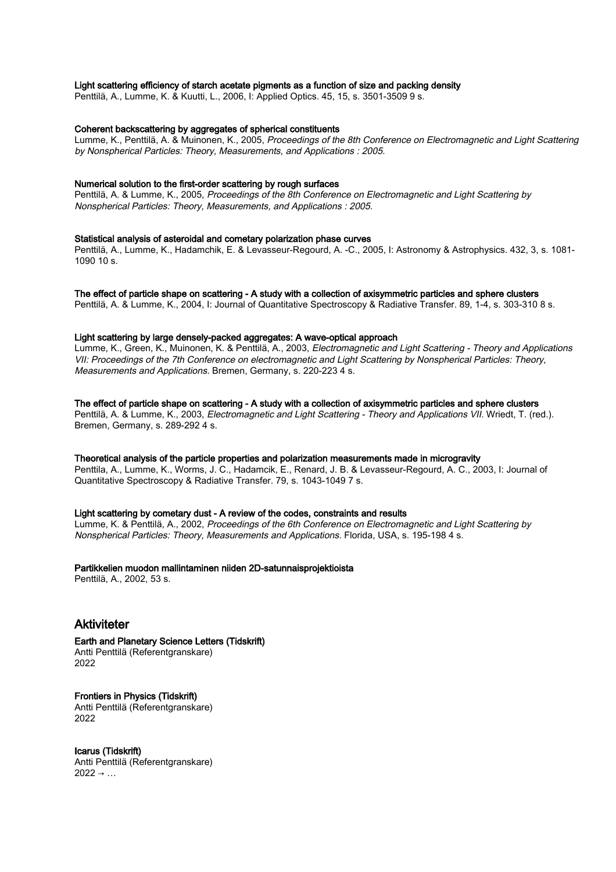#### Light scattering efficiency of starch acetate pigments as a function of size and packing density

Penttilä, A., Lumme, K. & Kuutti, L., 2006, I: Applied Optics. 45, 15, s. 3501-3509 9 s.

### Coherent backscattering by aggregates of spherical constituents

Lumme, K., Penttilä, A. & Muinonen, K., 2005, Proceedings of the 8th Conference on Electromagnetic and Light Scattering by Nonspherical Particles: Theory, Measurements, and Applications : 2005.

#### Numerical solution to the first-order scattering by rough surfaces

Penttilä, A. & Lumme, K., 2005, Proceedings of the 8th Conference on Electromagnetic and Light Scattering by Nonspherical Particles: Theory, Measurements, and Applications : 2005.

#### Statistical analysis of asteroidal and cometary polarization phase curves

Penttilä, A., Lumme, K., Hadamchik, E. & Levasseur-Regourd, A. -C., 2005, I: Astronomy & Astrophysics. 432, 3, s. 1081- 1090 10 s.

#### The effect of particle shape on scattering - A study with a collection of axisymmetric particles and sphere clusters

Penttilä, A. & Lumme, K., 2004, I: Journal of Quantitative Spectroscopy & Radiative Transfer. 89, 1-4, s. 303-310 8 s.

#### Light scattering by large densely-packed aggregates: A wave-optical approach

Lumme, K., Green, K., Muinonen, K. & Penttilä, A., 2003, Electromagnetic and Light Scattering - Theory and Applications VII: Proceedings of the 7th Conference on electromagnetic and Light Scattering by Nonspherical Particles: Theory, Measurements and Applications. Bremen, Germany, s. 220-223 4 s.

#### The effect of particle shape on scattering - A study with a collection of axisymmetric particles and sphere clusters

Penttilä, A. & Lumme, K., 2003, Electromagnetic and Light Scattering - Theory and Applications VII. Wriedt, T. (red.). Bremen, Germany, s. 289-292 4 s.

#### Theoretical analysis of the particle properties and polarization measurements made in microgravity

Penttila, A., Lumme, K., Worms, J. C., Hadamcik, E., Renard, J. B. & Levasseur-Regourd, A. C., 2003, I: Journal of Quantitative Spectroscopy & Radiative Transfer. 79, s. 1043-1049 7 s.

### Light scattering by cometary dust - A review of the codes, constraints and results

Lumme, K. & Penttilä, A., 2002, Proceedings of the 6th Conference on Electromagnetic and Light Scattering by Nonspherical Particles: Theory, Measurements and Applications. Florida, USA, s. 195-198 4 s.

Partikkelien muodon mallintaminen niiden 2D-satunnaisprojektioista

Penttilä, A., 2002, 53 s.

## Aktiviteter

#### Earth and Planetary Science Letters (Tidskrift) Antti Penttilä (Referentgranskare)

2022

Frontiers in Physics (Tidskrift) Antti Penttilä (Referentgranskare) 2022

#### Icarus (Tidskrift) Antti Penttilä (Referentgranskare)  $2022 \rightarrow ...$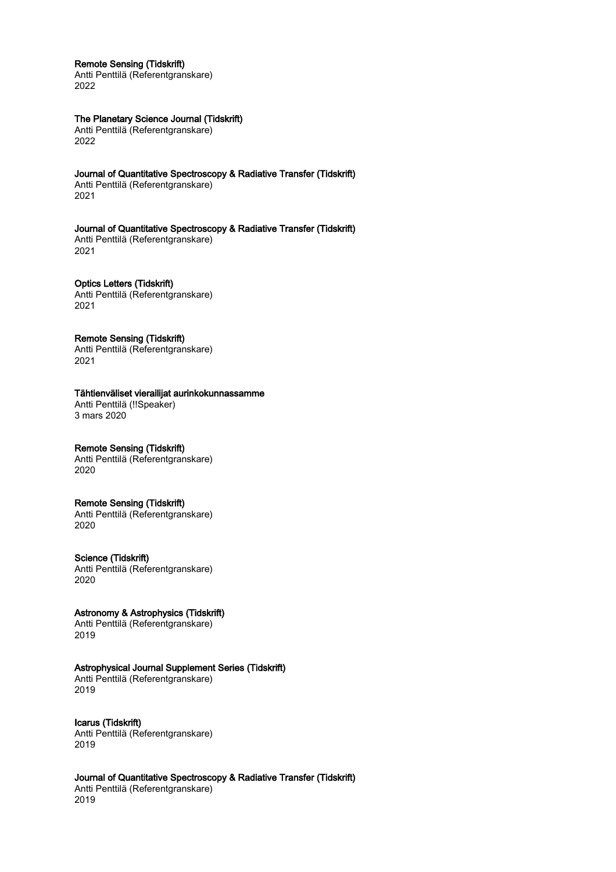#### Remote Sensing (Tidskrift)

Antti Penttilä (Referentgranskare) 2022

## The Planetary Science Journal (Tidskrift)

Antti Penttilä (Referentgranskare) 2022

## Journal of Quantitative Spectroscopy & Radiative Transfer (Tidskrift)

Antti Penttilä (Referentgranskare) 2021

Journal of Quantitative Spectroscopy & Radiative Transfer (Tidskrift) Antti Penttilä (Referentgranskare) 2021

Optics Letters (Tidskrift) Antti Penttilä (Referentgranskare) 2021

## Remote Sensing (Tidskrift)

Antti Penttilä (Referentgranskare) 2021

## Tähtienväliset vierailijat aurinkokunnassamme

Antti Penttilä (!!Speaker) 3 mars 2020

## Remote Sensing (Tidskrift)

Antti Penttilä (Referentgranskare) 2020

## Remote Sensing (Tidskrift)

Antti Penttilä (Referentgranskare) 2020

### Science (Tidskrift)

Antti Penttilä (Referentgranskare) 2020

## Astronomy & Astrophysics (Tidskrift)

Antti Penttilä (Referentgranskare) 2019

## Astrophysical Journal Supplement Series (Tidskrift)

Antti Penttilä (Referentgranskare) 2019

## Icarus (Tidskrift)

Antti Penttilä (Referentgranskare) 2019

## Journal of Quantitative Spectroscopy & Radiative Transfer (Tidskrift)

Antti Penttilä (Referentgranskare) 2019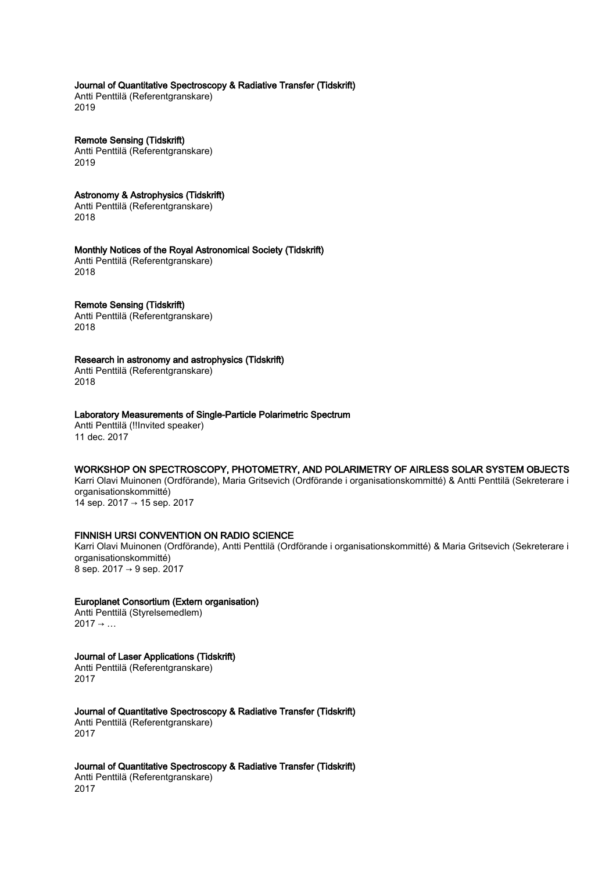## Journal of Quantitative Spectroscopy & Radiative Transfer (Tidskrift)

Antti Penttilä (Referentgranskare) 2019

Remote Sensing (Tidskrift) Antti Penttilä (Referentgranskare) 2019

## Astronomy & Astrophysics (Tidskrift)

Antti Penttilä (Referentgranskare) 2018

## Monthly Notices of the Royal Astronomical Society (Tidskrift)

Antti Penttilä (Referentgranskare) 2018

## Remote Sensing (Tidskrift)

Antti Penttilä (Referentgranskare) 2018

## Research in astronomy and astrophysics (Tidskrift)

Antti Penttilä (Referentgranskare) 2018

## Laboratory Measurements of Single-Particle Polarimetric Spectrum

Antti Penttilä (!!Invited speaker) 11 dec. 2017

## WORKSHOP ON SPECTROSCOPY, PHOTOMETRY, AND POLARIMETRY OF AIRLESS SOLAR SYSTEM OBJECTS

Karri Olavi Muinonen (Ordförande), Maria Gritsevich (Ordförande i organisationskommitté) & Antti Penttilä (Sekreterare i organisationskommitté) 14 sep. 2017 → 15 sep. 2017

## FINNISH URSI CONVENTION ON RADIO SCIENCE

Karri Olavi Muinonen (Ordförande), Antti Penttilä (Ordförande i organisationskommitté) & Maria Gritsevich (Sekreterare i organisationskommitté) 8 sep. 2017 → 9 sep. 2017

## Europlanet Consortium (Extern organisation)

Antti Penttilä (Styrelsemedlem)  $2017 \rightarrow \ldots$ 

## Journal of Laser Applications (Tidskrift)

Antti Penttilä (Referentgranskare) 2017

## Journal of Quantitative Spectroscopy & Radiative Transfer (Tidskrift)

Antti Penttilä (Referentgranskare) 2017

### Journal of Quantitative Spectroscopy & Radiative Transfer (Tidskrift)

Antti Penttilä (Referentgranskare) 2017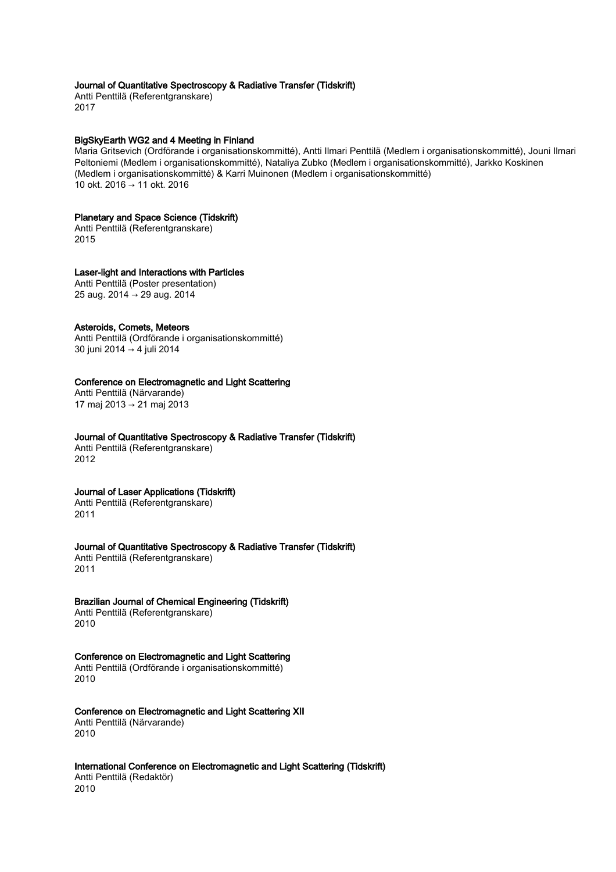## Journal of Quantitative Spectroscopy & Radiative Transfer (Tidskrift)

Antti Penttilä (Referentgranskare) 2017

#### BigSkyEarth WG2 and 4 Meeting in Finland

Maria Gritsevich (Ordförande i organisationskommitté), Antti Ilmari Penttilä (Medlem i organisationskommitté), Jouni Ilmari Peltoniemi (Medlem i organisationskommitté), Nataliya Zubko (Medlem i organisationskommitté), Jarkko Koskinen (Medlem i organisationskommitté) & Karri Muinonen (Medlem i organisationskommitté) 10 okt. 2016 → 11 okt. 2016

#### Planetary and Space Science (Tidskrift)

Antti Penttilä (Referentgranskare) 2015

#### Laser-light and Interactions with Particles

Antti Penttilä (Poster presentation) 25 aug. 2014 → 29 aug. 2014

### Asteroids, Comets, Meteors

Antti Penttilä (Ordförande i organisationskommitté) 30 juni 2014 → 4 juli 2014

## Conference on Electromagnetic and Light Scattering

Antti Penttilä (Närvarande) 17 maj 2013 → 21 maj 2013

#### Journal of Quantitative Spectroscopy & Radiative Transfer (Tidskrift)

Antti Penttilä (Referentgranskare) 2012

## Journal of Laser Applications (Tidskrift)

Antti Penttilä (Referentgranskare) 2011

### Journal of Quantitative Spectroscopy & Radiative Transfer (Tidskrift)

Antti Penttilä (Referentgranskare) 2011

## Brazilian Journal of Chemical Engineering (Tidskrift)

Antti Penttilä (Referentgranskare) 2010

## Conference on Electromagnetic and Light Scattering

Antti Penttilä (Ordförande i organisationskommitté) 2010

### Conference on Electromagnetic and Light Scattering XII

Antti Penttilä (Närvarande) 2010

## International Conference on Electromagnetic and Light Scattering (Tidskrift)

Antti Penttilä (Redaktör) 2010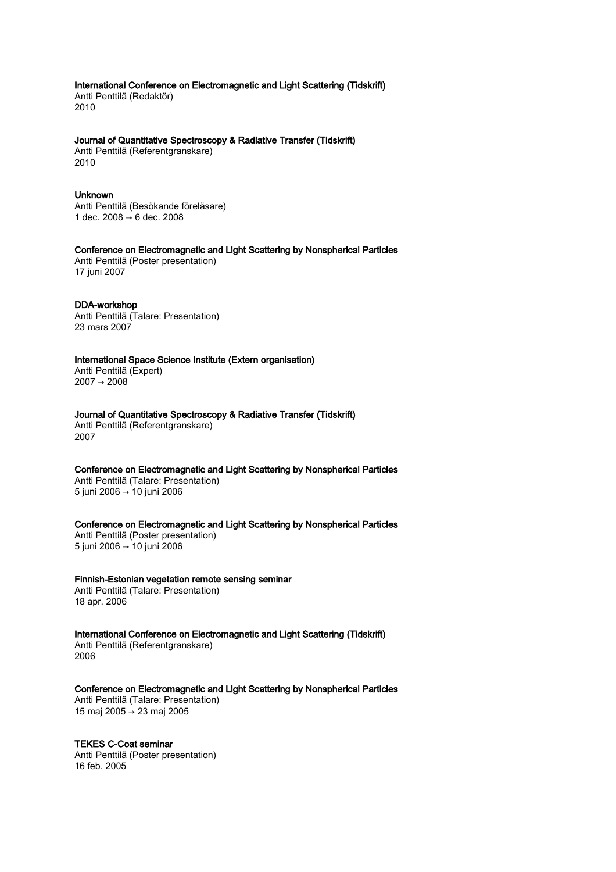International Conference on Electromagnetic and Light Scattering (Tidskrift) Antti Penttilä (Redaktör) 2010

#### Journal of Quantitative Spectroscopy & Radiative Transfer (Tidskrift)

Antti Penttilä (Referentgranskare) 2010

## Unknown

Antti Penttilä (Besökande föreläsare) 1 dec. 2008 → 6 dec. 2008

Conference on Electromagnetic and Light Scattering by Nonspherical Particles

Antti Penttilä (Poster presentation) 17 juni 2007

## DDA-workshop

Antti Penttilä (Talare: Presentation) 23 mars 2007

International Space Science Institute (Extern organisation)

Antti Penttilä (Expert) 2007 → 2008

Journal of Quantitative Spectroscopy & Radiative Transfer (Tidskrift) Antti Penttilä (Referentgranskare) 2007

Conference on Electromagnetic and Light Scattering by Nonspherical Particles Antti Penttilä (Talare: Presentation) 5 juni 2006 → 10 juni 2006

Conference on Electromagnetic and Light Scattering by Nonspherical Particles Antti Penttilä (Poster presentation) 5 juni 2006 → 10 juni 2006

## Finnish-Estonian vegetation remote sensing seminar

Antti Penttilä (Talare: Presentation) 18 apr. 2006

International Conference on Electromagnetic and Light Scattering (Tidskrift) Antti Penttilä (Referentgranskare) 2006

Conference on Electromagnetic and Light Scattering by Nonspherical Particles

Antti Penttilä (Talare: Presentation) 15 maj 2005 → 23 maj 2005

## TEKES C-Coat seminar

Antti Penttilä (Poster presentation) 16 feb. 2005